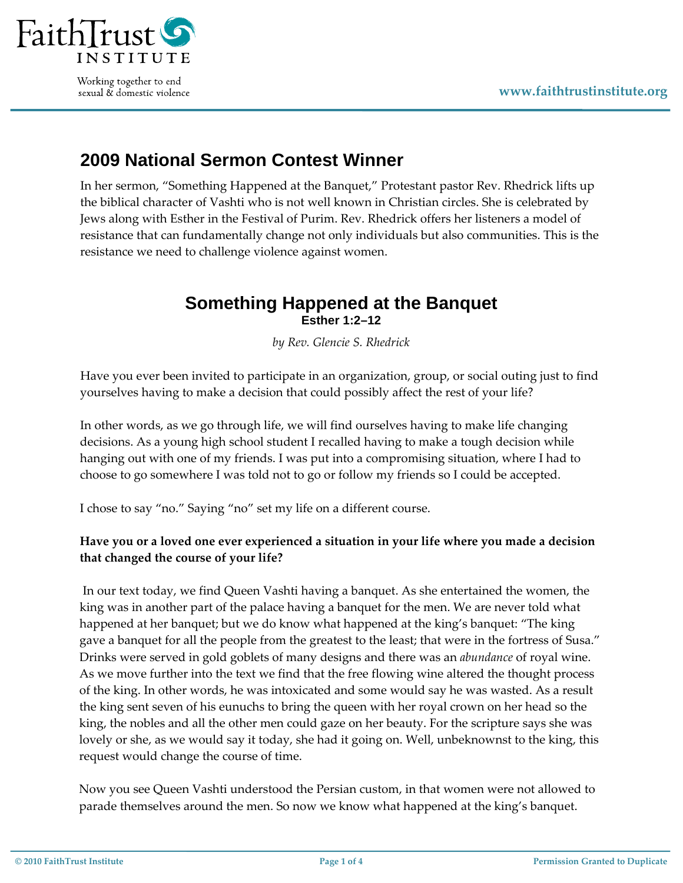

Working together to end sexual & domestic violence

## **2009 National Sermon Contest Winner**

In her sermon, "Something Happened at the Banquet," Protestant pastor Rev. Rhedrick lifts up the biblical character of Vashti who is not well known in Christian circles. She is celebrated by Jews along with Esther in the Festival of Purim. Rev. Rhedrick offers her listeners a model of resistance that can fundamentally change not only individuals but also communities. This is the resistance we need to challenge violence against women.

## **Something Happened at the Banquet Esther 1:2–12**

*by Rev. Glencie S. Rhedrick*

Have you ever been invited to participate in an organization, group, or social outing just to find yourselves having to make a decision that could possibly affect the rest of your life?

In other words, as we go through life, we will find ourselves having to make life changing decisions. As a young high school student I recalled having to make a tough decision while hanging out with one of my friends. I was put into a compromising situation, where I had to choose to go somewhere I was told not to go or follow my friends so I could be accepted.

I chose to say "no." Saying "no" set my life on a different course.

## **Have you or a loved one ever experienced a situation in your life where you made a decision that changed the course of your life?**

In our text today, we find Queen Vashti having a banquet. As she entertained the women, the king was in another part of the palace having a banquet for the men. We are never told what happened at her banquet; but we do know what happened at the king's banquet: "The king gave a banquet for all the people from the greatest to the least; that were in the fortress of Susa." Drinks were served in gold goblets of many designs and there was an *abundance* of royal wine. As we move further into the text we find that the free flowing wine altered the thought process of the king. In other words, he was intoxicated and some would say he was wasted. As a result the king sent seven of his eunuchs to bring the queen with her royal crown on her head so the king, the nobles and all the other men could gaze on her beauty. For the scripture says she was lovely or she, as we would say it today, she had it going on. Well, unbeknownst to the king, this request would change the course of time.

Now you see Queen Vashti understood the Persian custom, in that women were not allowed to parade themselves around the men. So now we know what happened at the king's banquet.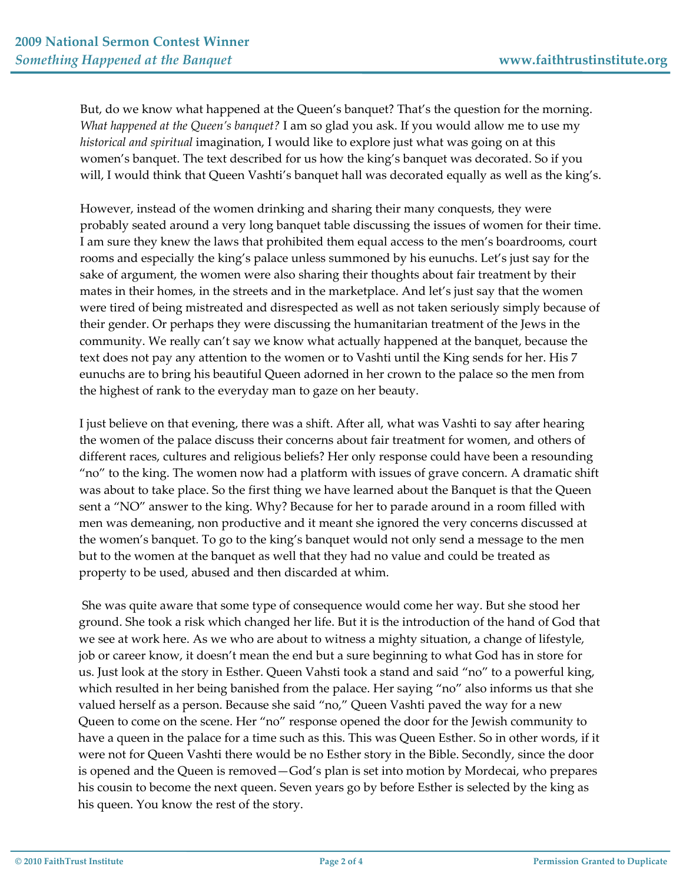But, do we know what happened at the Queen's banquet? That's the question for the morning. *What happened at the Queen's banquet?* I am so glad you ask. If you would allow me to use my *historical and spiritual* imagination, I would like to explore just what was going on at this women's banquet. The text described for us how the king's banquet was decorated. So if you will, I would think that Queen Vashti's banquet hall was decorated equally as well as the king's.

However, instead of the women drinking and sharing their many conquests, they were probably seated around a very long banquet table discussing the issues of women for their time. I am sure they knew the laws that prohibited them equal access to the men's boardrooms, court rooms and especially the king's palace unless summoned by his eunuchs. Let's just say for the sake of argument, the women were also sharing their thoughts about fair treatment by their mates in their homes, in the streets and in the marketplace. And let's just say that the women were tired of being mistreated and disrespected as well as not taken seriously simply because of their gender. Or perhaps they were discussing the humanitarian treatment of the Jews in the community. We really can't say we know what actually happened at the banquet, because the text does not pay any attention to the women or to Vashti until the King sends for her. His 7 eunuchs are to bring his beautiful Queen adorned in her crown to the palace so the men from the highest of rank to the everyday man to gaze on her beauty.

I just believe on that evening, there was a shift. After all, what was Vashti to say after hearing the women of the palace discuss their concerns about fair treatment for women, and others of different races, cultures and religious beliefs? Her only response could have been a resounding "no" to the king. The women now had a platform with issues of grave concern. A dramatic shift was about to take place. So the first thing we have learned about the Banquet is that the Queen sent a "NO" answer to the king. Why? Because for her to parade around in a room filled with men was demeaning, non productive and it meant she ignored the very concerns discussed at the women's banquet. To go to the king's banquet would not only send a message to the men but to the women at the banquet as well that they had no value and could be treated as property to be used, abused and then discarded at whim.

She was quite aware that some type of consequence would come her way. But she stood her ground. She took a risk which changed her life. But it is the introduction of the hand of God that we see at work here. As we who are about to witness a mighty situation, a change of lifestyle, job or career know, it doesn't mean the end but a sure beginning to what God has in store for us. Just look at the story in Esther. Queen Vahsti took a stand and said "no" to a powerful king, which resulted in her being banished from the palace. Her saying "no" also informs us that she valued herself as a person. Because she said "no," Queen Vashti paved the way for a new Queen to come on the scene. Her "no" response opened the door for the Jewish community to have a queen in the palace for a time such as this. This was Queen Esther. So in other words, if it were not for Queen Vashti there would be no Esther story in the Bible. Secondly, since the door is opened and the Queen is removed—God's plan is set into motion by Mordecai, who prepares his cousin to become the next queen. Seven years go by before Esther is selected by the king as his queen. You know the rest of the story.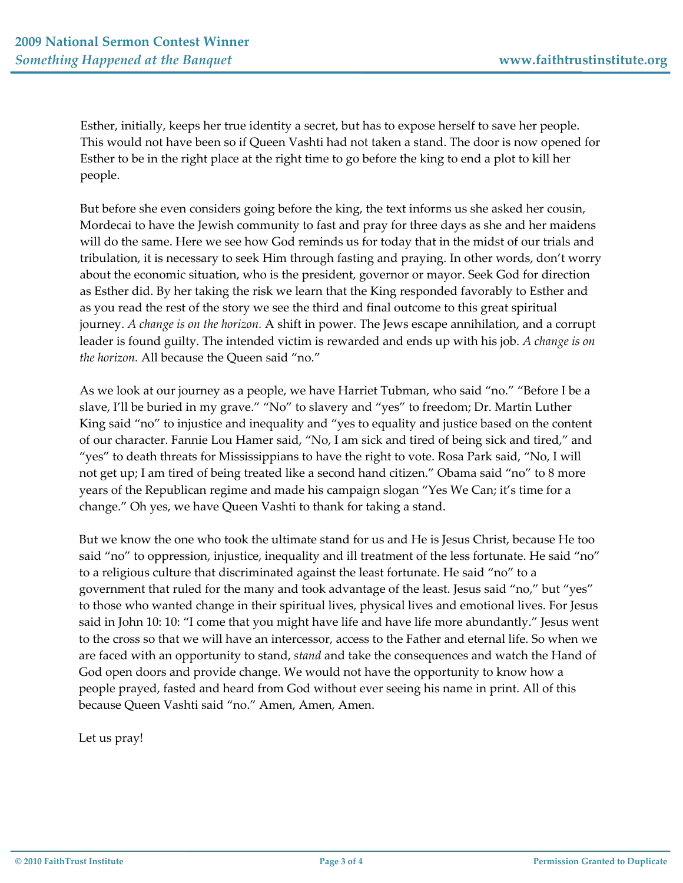Esther, initially, keeps her true identity a secret, but has to expose herself to save her people. This would not have been so if Queen Vashti had not taken a stand. The door is now opened for Esther to be in the right place at the right time to go before the king to end a plot to kill her people.

But before she even considers going before the king, the text informs us she asked her cousin, Mordecai to have the Jewish community to fast and pray for three days as she and her maidens will do the same. Here we see how God reminds us for today that in the midst of our trials and tribulation, it is necessary to seek Him through fasting and praying. In other words, don't worry about the economic situation, who is the president, governor or mayor. Seek God for direction as Esther did. By her taking the risk we learn that the King responded favorably to Esther and as you read the rest of the story we see the third and final outcome to this great spiritual journey. *A change is on the horizon.* A shift in power. The Jews escape annihilation, and a corrupt leader is found guilty. The intended victim is rewarded and ends up with his job. *A change is on the horizon.* All because the Queen said "no."

As we look at our journey as a people, we have Harriet Tubman, who said "no." "Before I be a slave, I'll be buried in my grave." "No" to slavery and "yes" to freedom; Dr. Martin Luther King said "no" to injustice and inequality and "yes to equality and justice based on the content of our character. Fannie Lou Hamer said, "No, I am sick and tired of being sick and tired," and "yes" to death threats for Mississippians to have the right to vote. Rosa Park said, "No, I will not get up; I am tired of being treated like a second hand citizen." Obama said "no" to 8 more years of the Republican regime and made his campaign slogan "Yes We Can; it's time for a change." Oh yes, we have Queen Vashti to thank for taking a stand.

But we know the one who took the ultimate stand for us and He is Jesus Christ, because He too said "no" to oppression, injustice, inequality and ill treatment of the less fortunate. He said "no" to a religious culture that discriminated against the least fortunate. He said "no" to a government that ruled for the many and took advantage of the least. Jesus said "no," but "yes" to those who wanted change in their spiritual lives, physical lives and emotional lives. For Jesus said in John 10: 10: "I come that you might have life and have life more abundantly." Jesus went to the cross so that we will have an intercessor, access to the Father and eternal life. So when we are faced with an opportunity to stand, *stand* and take the consequences and watch the Hand of God open doors and provide change. We would not have the opportunity to know how a people prayed, fasted and heard from God without ever seeing his name in print. All of this because Queen Vashti said "no." Amen, Amen, Amen.

Let us pray!